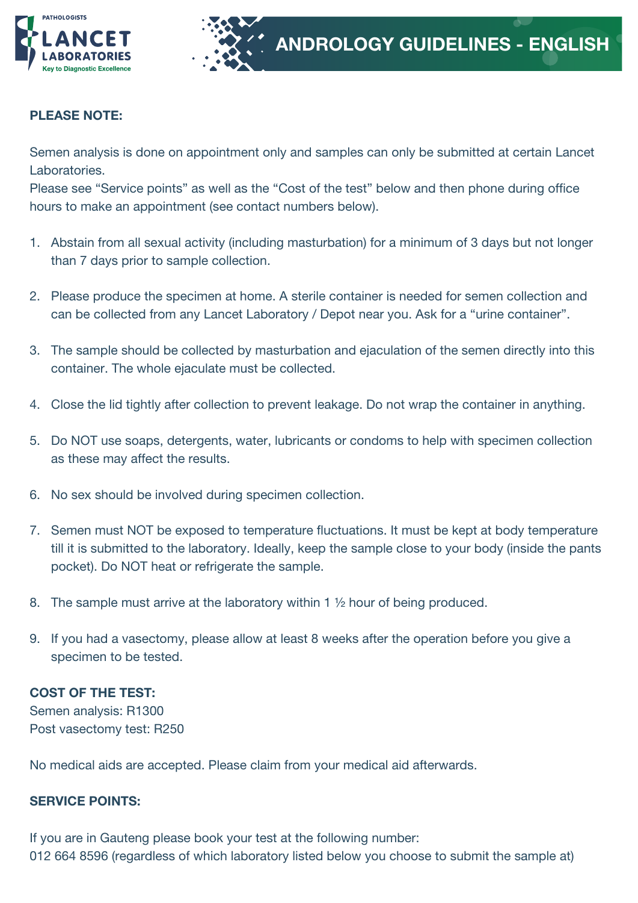

## PLEASE NOTE:

Semen analysis is done on appointment only and samples can only be submitted at certain Lancet Laboratories.

Please see "Service points" as well as the "Cost of the test" below and then phone during office hours to make an appointment (see contact numbers below).

- 1. Abstain from all sexual activity (including masturbation) for a minimum of 3 days but not longer than 7 days prior to sample collection.
- 2. Please produce the specimen at home. A sterile container is needed for semen collection and can be collected from any Lancet Laboratory / Depot near you. Ask for a "urine container".
- 3. The sample should be collected by masturbation and ejaculation of the semen directly into this container. The whole ejaculate must be collected.
- 4. Close the lid tightly after collection to prevent leakage. Do not wrap the container in anything.
- 5. Do NOT use soaps, detergents, water, lubricants or condoms to help with specimen collection as these may affect the results.
- 6. No sex should be involved during specimen collection.
- 7. Semen must NOT be exposed to temperature fluctuations. It must be kept at body temperature till it is submitted to the laboratory. Ideally, keep the sample close to your body (inside the pants pocket). Do NOT heat or refrigerate the sample.
- 8. The sample must arrive at the laboratory within 1 ½ hour of being produced.
- 9. If you had a vasectomy, please allow at least 8 weeks after the operation before you give a specimen to be tested.

## COST OF THE TEST:

Semen analysis: R1300 Post vasectomy test: R250

No medical aids are accepted. Please claim from your medical aid afterwards.

## SERVICE POINTS:

If you are in Gauteng please book your test at the following number: 012 664 8596 (regardless of which laboratory listed below you choose to submit the sample at)